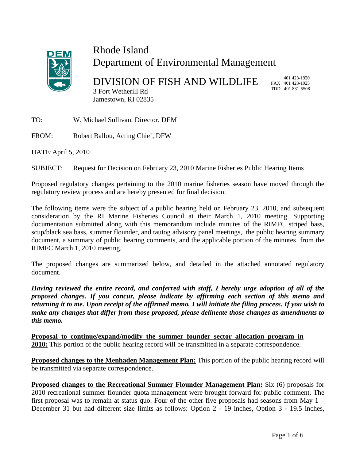

## Rhode Island Department of Environmental Management

DIVISION OF FISH AND WILDLIFE 3 Fort Wetherill Rd Jamestown, RI 02835

 401 423-1920 FAX 401 423-1925 TDD 401 831-5508

TO: W. Michael Sullivan, Director, DEM

FROM: Robert Ballou, Acting Chief, DFW

DATE: April 5, 2010

SUBJECT: Request for Decision on February 23, 2010 Marine Fisheries Public Hearing Items

Proposed regulatory changes pertaining to the 2010 marine fisheries season have moved through the regulatory review process and are hereby presented for final decision.

The following items were the subject of a public hearing held on February 23, 2010, and subsequent consideration by the RI Marine Fisheries Council at their March 1, 2010 meeting. Supporting documentation submitted along with this memorandum include minutes of the RIMFC striped bass, scup/black sea bass, summer flounder, and tautog advisory panel meetings, the public hearing summary document, a summary of public hearing comments, and the applicable portion of the minutes from the RIMFC March 1, 2010 meeting.

The proposed changes are summarized below, and detailed in the attached annotated regulatory document.

*Having reviewed the entire record, and conferred with staff, I hereby urge adoption of all of the proposed changes. If you concur, please indicate by affirming each section of this memo and returning it to me. Upon receipt of the affirmed memo, I will initiate the filing process. If you wish to make any changes that differ from those proposed, please delineate those changes as amendments to this memo.* 

**Proposal to continue/expand/modify the summer founder sector allocation program in 2010:** This portion of the public hearing record will be transmitted in a separate correspondence.

**Proposed changes to the Menhaden Management Plan:** This portion of the public hearing record will be transmitted via separate correspondence.

**Proposed changes to the Recreational Summer Flounder Management Plan:** Six (6) proposals for 2010 recreational summer flounder quota management were brought forward for public comment. The first proposal was to remain at status quo. Four of the other five proposals had seasons from May 1 – December 31 but had different size limits as follows: Option 2 - 19 inches, Option 3 - 19.5 inches,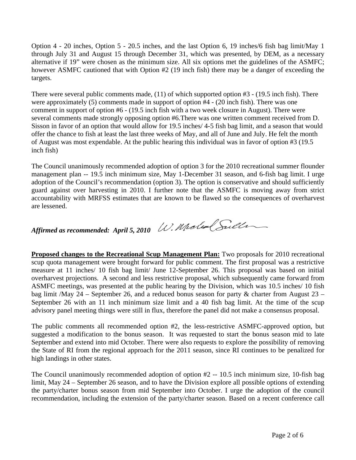Option 4 - 20 inches, Option 5 - 20.5 inches, and the last Option 6, 19 inches/6 fish bag limit/May 1 through July 31 and August 15 through December 31, which was presented, by DEM, as a necessary alternative if 19" were chosen as the minimum size. All six options met the guidelines of the ASMFC; however ASMFC cautioned that with Option #2 (19 inch fish) there may be a danger of exceeding the targets.

There were several public comments made, (11) of which supported option #3 - (19.5 inch fish). There were approximately (5) comments made in support of option #4 - (20 inch fish). There was one comment in support of option #6 - (19.5 inch fish with a two week closure in August). There were several comments made strongly opposing option #6.There was one written comment received from D. Sisson in favor of an option that would allow for 19.5 inches/ 4-5 fish bag limit, and a season that would offer the chance to fish at least the last three weeks of May, and all of June and July. He felt the month of August was most expendable. At the public hearing this individual was in favor of option #3 (19.5 inch fish)

The Council unanimously recommended adoption of option 3 for the 2010 recreational summer flounder management plan -- 19.5 inch minimum size, May 1-December 31 season, and 6-fish bag limit. I urge adoption of the Council's recommendation (option 3). The option is conservative and should sufficiently guard against over harvesting in 2010. I further note that the ASMFC is moving away from strict accountability with MRFSS estimates that are known to be flawed so the consequences of overharvest are lessened.

*Affirmed as recommended: April 5, 2010*

**Proposed changes to the Recreational Scup Management Plan:** Two proposals for 2010 recreational scup quota management were brought forward for public comment. The first proposal was a restrictive measure at 11 inches/ 10 fish bag limit/ June 12-September 26. This proposal was based on initial overharvest projections. A second and less restrictive proposal, which subsequently came forward from ASMFC meetings, was presented at the public hearing by the Division, which was 10.5 inches/ 10 fish bag limit /May 24 – September 26, and a reduced bonus season for party & charter from August 23 – September 26 with an 11 inch minimum size limit and a 40 fish bag limit. At the time of the scup advisory panel meeting things were still in flux, therefore the panel did not make a consensus proposal.

The public comments all recommended option #2, the less-restrictive ASMFC-approved option, but suggested a modification to the bonus season. It was requested to start the bonus season mid to late September and extend into mid October. There were also requests to explore the possibility of removing the State of RI from the regional approach for the 2011 season, since RI continues to be penalized for high landings in other states.

The Council unanimously recommended adoption of option  $#2 - 10.5$  inch minimum size, 10-fish bag limit, May 24 – September 26 season, and to have the Division explore all possible options of extending the party/charter bonus season from mid September into October. I urge the adoption of the council recommendation, including the extension of the party/charter season. Based on a recent conference call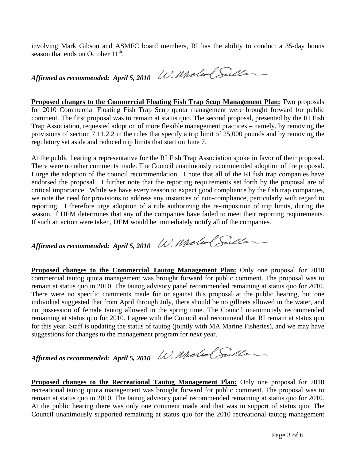involving Mark Gibson and ASMFC board members, RI has the ability to conduct a 35-day bonus season that ends on October  $11<sup>th</sup>$ .

*Affirmed as recommended: April 5, 2010*

**Proposed changes to the Commercial Floating Fish Trap Scup Management Plan:** Two proposals for 2010 Commercial Floating Fish Trap Scup quota management were brought forward for public comment. The first proposal was to remain at status quo. The second proposal, presented by the RI Fish Trap Association, requested adoption of more flexible management practices – namely, by removing the provisions of section 7.11.2.2 in the rules that specify a trip limit of 25,000 pounds and by removing the regulatory set aside and reduced trip limits that start on June 7.

At the public hearing a representative for the RI Fish Trap Association spoke in favor of their proposal. There were no other comments made. The Council unanimously recommended adoption of the proposal. I urge the adoption of the council recommendation. I note that all of the RI fish trap companies have endorsed the proposal. I further note that the reporting requirements set forth by the proposal are of critical importance. While we have every reason to expect good compliance by the fish trap companies, we note the need for provisions to address any instances of non-compliance, particularly with regard to reporting. I therefore urge adoption of a rule authorizing the re-imposition of trip limits, during the season, if DEM determines that any of the companies have failed to meet their reporting requirements. If such an action were taken, DEM would be immediately notify all of the companies.

*Affirmed as recommended: April 5, 2010*

**Proposed changes to the Commercial Tautog Management Plan:** Only one proposal for 2010 commercial tautog quota management was brought forward for public comment. The proposal was to remain at status quo in 2010. The tautog advisory panel recommended remaining at status quo for 2010. There were no specific comments made for or against this proposal at the public hearing, but one individual suggested that from April through July, there should be no gillnets allowed in the water, and no possession of female tautog allowed in the spring time. The Council unanimously recommended remaining at status quo for 2010. I agree with the Council and recommend that RI remain at status quo for this year. Staff is updating the status of tautog (jointly with MA Marine Fisheries), and we may have suggestions for changes to the management program for next year.

*Affirmed as recommended: April 5, 2010*

**Proposed changes to the Recreational Tautog Management Plan:** Only one proposal for 2010 recreational tautog quota management was brought forward for public comment. The proposal was to remain at status quo in 2010. The tautog advisory panel recommended remaining at status quo for 2010. At the public hearing there was only one comment made and that was in support of status quo. The Council unanimously supported remaining at status quo for the 2010 recreational tautog management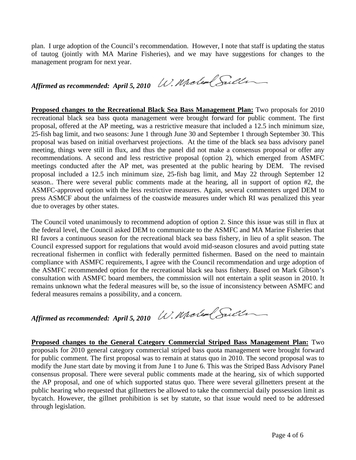plan. I urge adoption of the Council's recommendation. However, I note that staff is updating the status of tautog (jointly with MA Marine Fisheries), and we may have suggestions for changes to the management program for next year.

*Affirmed as recommended: April 5, 2010*

**Proposed changes to the Recreational Black Sea Bass Management Plan:** Two proposals for 2010 recreational black sea bass quota management were brought forward for public comment. The first proposal, offered at the AP meeting, was a restrictive measure that included a 12.5 inch minimum size, 25-fish bag limit, and two seasons: June 1 through June 30 and September 1 through September 30. This proposal was based on initial overharvest projections. At the time of the black sea bass advisory panel meeting, things were still in flux, and thus the panel did not make a consensus proposal or offer any recommendations. A second and less restrictive proposal (option 2), which emerged from ASMFC meetings conducted after the AP met, was presented at the public hearing by DEM. The revised proposal included a 12.5 inch minimum size, 25-fish bag limit, and May 22 through September 12 season.. There were several public comments made at the hearing, all in support of option #2, the ASMFC-approved option with the less restrictive measures. Again, several commenters urged DEM to press ASMCF about the unfairness of the coastwide measures under which RI was penalized this year due to overages by other states.

The Council voted unanimously to recommend adoption of option 2. Since this issue was still in flux at the federal level, the Council asked DEM to communicate to the ASMFC and MA Marine Fisheries that RI favors a continuous season for the recreational black sea bass fishery, in lieu of a split season. The Council expressed support for regulations that would avoid mid-season closures and avoid putting state recreational fishermen in conflict with federally permitted fishermen. Based on the need to maintain compliance with ASMFC requirements, I agree with the Council recommendation and urge adoption of the ASMFC recommended option for the recreational black sea bass fishery. Based on Mark Gibson's consultation with ASMFC board members, the commission will not entertain a split season in 2010. It remains unknown what the federal measures will be, so the issue of inconsistency between ASMFC and federal measures remains a possibility, and a concern.

*Affirmed as recommended: April 5, 2010*

**Proposed changes to the General Category Commercial Striped Bass Management Plan:** Two proposals for 2010 general category commercial striped bass quota management were brought forward for public comment. The first proposal was to remain at status quo in 2010. The second proposal was to modify the June start date by moving it from June 1 to June 6. This was the Striped Bass Advisory Panel consensus proposal. There were several public comments made at the hearing, six of which supported the AP proposal, and one of which supported status quo. There were several gillnetters present at the public hearing who requested that gillnetters be allowed to take the commercial daily possession limit as bycatch. However, the gillnet prohibition is set by statute, so that issue would need to be addressed through legislation.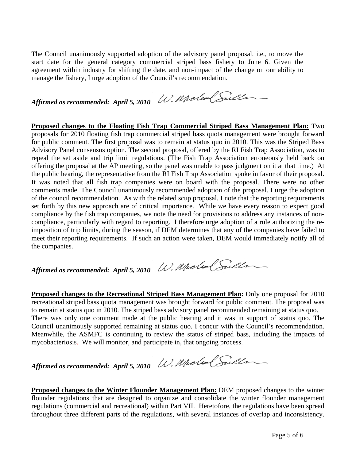The Council unanimously supported adoption of the advisory panel proposal, i.e., to move the start date for the general category commercial striped bass fishery to June 6. Given the agreement within industry for shifting the date, and non-impact of the change on our ability to manage the fishery, I urge adoption of the Council's recommendation.

*Affirmed as recommended: April 5, 2010*

**Proposed changes to the Floating Fish Trap Commercial Striped Bass Management Plan:** Two proposals for 2010 floating fish trap commercial striped bass quota management were brought forward for public comment. The first proposal was to remain at status quo in 2010. This was the Striped Bass Advisory Panel consensus option. The second proposal, offered by the RI Fish Trap Association, was to repeal the set aside and trip limit regulations. (The Fish Trap Association erroneously held back on offering the proposal at the AP meeting, so the panel was unable to pass judgment on it at that time.) At the public hearing, the representative from the RI Fish Trap Association spoke in favor of their proposal. It was noted that all fish trap companies were on board with the proposal. There were no other comments made. The Council unanimously recommended adoption of the proposal. I urge the adoption of the council recommendation. As with the related scup proposal, I note that the reporting requirements set forth by this new approach are of critical importance. While we have every reason to expect good compliance by the fish trap companies, we note the need for provisions to address any instances of noncompliance, particularly with regard to reporting. I therefore urge adoption of a rule authorizing the reimposition of trip limits, during the season, if DEM determines that any of the companies have failed to meet their reporting requirements. If such an action were taken, DEM would immediately notify all of the companies.

*Affirmed as recommended: April 5, 2010*

**Proposed changes to the Recreational Striped Bass Management Plan:** Only one proposal for 2010 recreational striped bass quota management was brought forward for public comment. The proposal was to remain at status quo in 2010. The striped bass advisory panel recommended remaining at status quo. There was only one comment made at the public hearing and it was in support of status quo. The Council unanimously supported remaining at status quo. I concur with the Council's recommendation. Meanwhile, the ASMFC is continuing to review the status of striped bass, including the impacts of mycobacteriosis. We will monitor, and participate in, that ongoing process.

*Affirmed as recommended: April 5, 2010*

**Proposed changes to the Winter Flounder Management Plan:** DEM proposed changes to the winter flounder regulations that are designed to organize and consolidate the winter flounder management regulations (commercial and recreational) within Part VII. Heretofore, the regulations have been spread throughout three different parts of the regulations, with several instances of overlap and inconsistency.